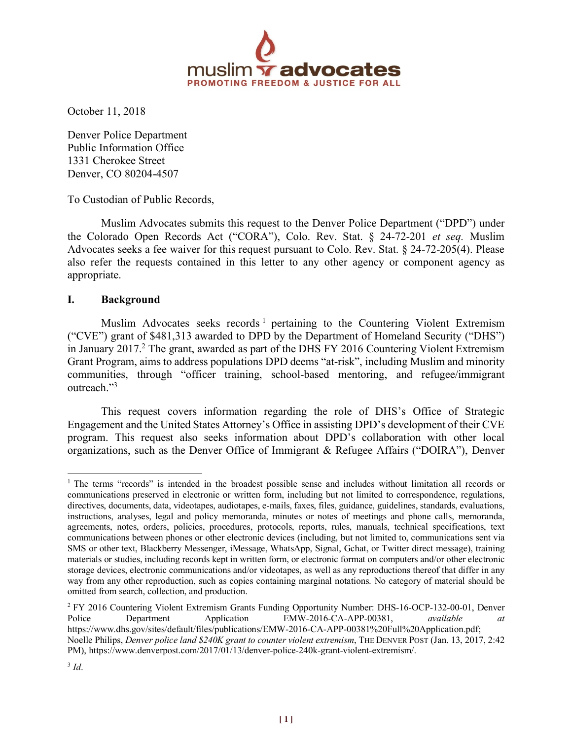

October 11, 2018

Denver Police Department Public Information Office 1331 Cherokee Street Denver, CO 80204-4507

To Custodian of Public Records,

Muslim Advocates submits this request to the Denver Police Department ("DPD") under the Colorado Open Records Act ("CORA"), Colo. Rev. Stat. § 24-72-201 *et seq.* Muslim Advocates seeks a fee waiver for this request pursuant to Colo. Rev. Stat. § 24-72-205(4). Please also refer the requests contained in this letter to any other agency or component agency as appropriate.

#### **I. Background**

Muslim Advocates seeks records<sup>1</sup> pertaining to the Countering Violent Extremism ("CVE") grant of \$481,313 awarded to DPD by the Department of Homeland Security ("DHS") in January 2017. <sup>2</sup> The grant, awarded as part of the DHS FY 2016 Countering Violent Extremism Grant Program, aims to address populations DPD deems "at-risk", including Muslim and minority communities, through "officer training, school-based mentoring, and refugee/immigrant outreach<sup>"3</sup>

This request covers information regarding the role of DHS's Office of Strategic Engagement and the United States Attorney's Office in assisting DPD's development of their CVE program. This request also seeks information about DPD's collaboration with other local organizations, such as the Denver Office of Immigrant & Refugee Affairs ("DOIRA"), Denver

<sup>&</sup>lt;sup>1</sup> The terms "records" is intended in the broadest possible sense and includes without limitation all records or communications preserved in electronic or written form, including but not limited to correspondence, regulations, directives, documents, data, videotapes, audiotapes, e-mails, faxes, files, guidance, guidelines, standards, evaluations, instructions, analyses, legal and policy memoranda, minutes or notes of meetings and phone calls, memoranda, agreements, notes, orders, policies, procedures, protocols, reports, rules, manuals, technical specifications, text communications between phones or other electronic devices (including, but not limited to, communications sent via SMS or other text, Blackberry Messenger, iMessage, WhatsApp, Signal, Gchat, or Twitter direct message), training materials or studies, including records kept in written form, or electronic format on computers and/or other electronic storage devices, electronic communications and/or videotapes, as well as any reproductions thereof that differ in any way from any other reproduction, such as copies containing marginal notations. No category of material should be omitted from search, collection, and production.

<sup>2</sup> FY 2016 Countering Violent Extremism Grants Funding Opportunity Number: DHS-16-OCP-132-00-01, Denver Police Department Application EMW-2016-CA-APP-00381, *available* https://www.dhs.gov/sites/default/files/publications/EMW-2016-CA-APP-00381%20Full%20Application.pdf; Noelle Philips, *Denver police land \$240K grant to counter violent extremism*, THE DENVER POST (Jan. 13, 2017, 2:42 PM), https://www.denverpost.com/2017/01/13/denver-police-240k-grant-violent-extremism/.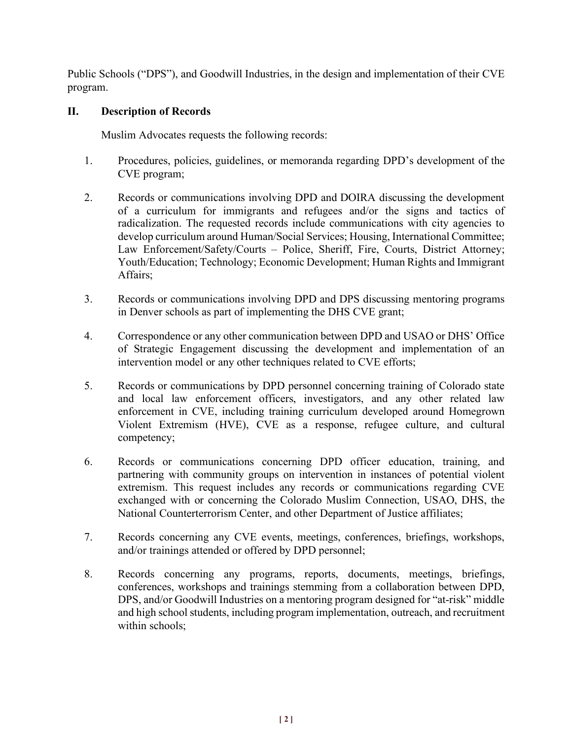Public Schools ("DPS"), and Goodwill Industries, in the design and implementation of their CVE program.

# **II. Description of Records**

Muslim Advocates requests the following records:

- 1. Procedures, policies, guidelines, or memoranda regarding DPD's development of the CVE program;
- 2. Records or communications involving DPD and DOIRA discussing the development of a curriculum for immigrants and refugees and/or the signs and tactics of radicalization. The requested records include communications with city agencies to develop curriculum around Human/Social Services; Housing, International Committee; Law Enforcement/Safety/Courts – Police, Sheriff, Fire, Courts, District Attorney; Youth/Education; Technology; Economic Development; Human Rights and Immigrant Affairs;
- 3. Records or communications involving DPD and DPS discussing mentoring programs in Denver schools as part of implementing the DHS CVE grant;
- 4. Correspondence or any other communication between DPD and USAO or DHS' Office of Strategic Engagement discussing the development and implementation of an intervention model or any other techniques related to CVE efforts;
- 5. Records or communications by DPD personnel concerning training of Colorado state and local law enforcement officers, investigators, and any other related law enforcement in CVE, including training curriculum developed around Homegrown Violent Extremism (HVE), CVE as a response, refugee culture, and cultural competency;
- 6. Records or communications concerning DPD officer education, training, and partnering with community groups on intervention in instances of potential violent extremism. This request includes any records or communications regarding CVE exchanged with or concerning the Colorado Muslim Connection, USAO, DHS, the National Counterterrorism Center, and other Department of Justice affiliates;
- 7. Records concerning any CVE events, meetings, conferences, briefings, workshops, and/or trainings attended or offered by DPD personnel;
- 8. Records concerning any programs, reports, documents, meetings, briefings, conferences, workshops and trainings stemming from a collaboration between DPD, DPS, and/or Goodwill Industries on a mentoring program designed for "at-risk" middle and high school students, including program implementation, outreach, and recruitment within schools;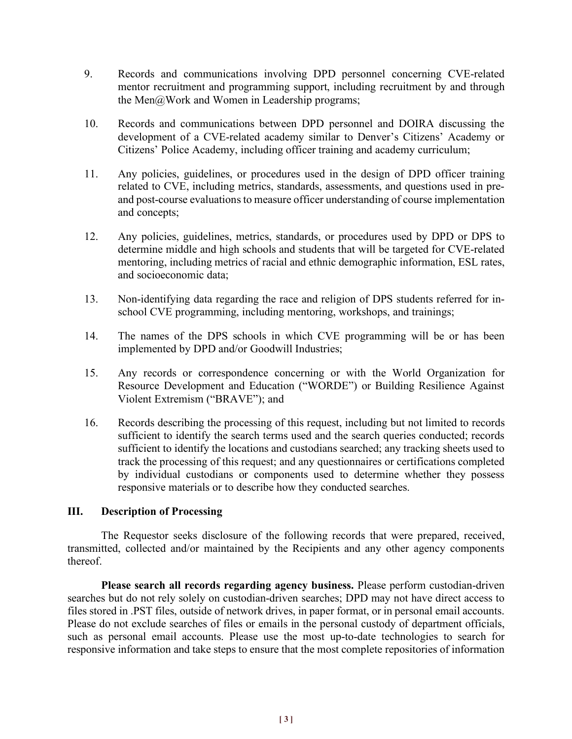- 9. Records and communications involving DPD personnel concerning CVE-related mentor recruitment and programming support, including recruitment by and through the Men@Work and Women in Leadership programs;
- 10. Records and communications between DPD personnel and DOIRA discussing the development of a CVE-related academy similar to Denver's Citizens' Academy or Citizens' Police Academy, including officer training and academy curriculum;
- 11. Any policies, guidelines, or procedures used in the design of DPD officer training related to CVE, including metrics, standards, assessments, and questions used in preand post-course evaluations to measure officer understanding of course implementation and concepts;
- 12. Any policies, guidelines, metrics, standards, or procedures used by DPD or DPS to determine middle and high schools and students that will be targeted for CVE-related mentoring, including metrics of racial and ethnic demographic information, ESL rates, and socioeconomic data;
- 13. Non-identifying data regarding the race and religion of DPS students referred for inschool CVE programming, including mentoring, workshops, and trainings;
- 14. The names of the DPS schools in which CVE programming will be or has been implemented by DPD and/or Goodwill Industries;
- 15. Any records or correspondence concerning or with the World Organization for Resource Development and Education ("WORDE") or Building Resilience Against Violent Extremism ("BRAVE"); and
- 16. Records describing the processing of this request, including but not limited to records sufficient to identify the search terms used and the search queries conducted; records sufficient to identify the locations and custodians searched; any tracking sheets used to track the processing of this request; and any questionnaires or certifications completed by individual custodians or components used to determine whether they possess responsive materials or to describe how they conducted searches.

### **III. Description of Processing**

The Requestor seeks disclosure of the following records that were prepared, received, transmitted, collected and/or maintained by the Recipients and any other agency components thereof.

**Please search all records regarding agency business.** Please perform custodian-driven searches but do not rely solely on custodian-driven searches; DPD may not have direct access to files stored in .PST files, outside of network drives, in paper format, or in personal email accounts. Please do not exclude searches of files or emails in the personal custody of department officials, such as personal email accounts. Please use the most up-to-date technologies to search for responsive information and take steps to ensure that the most complete repositories of information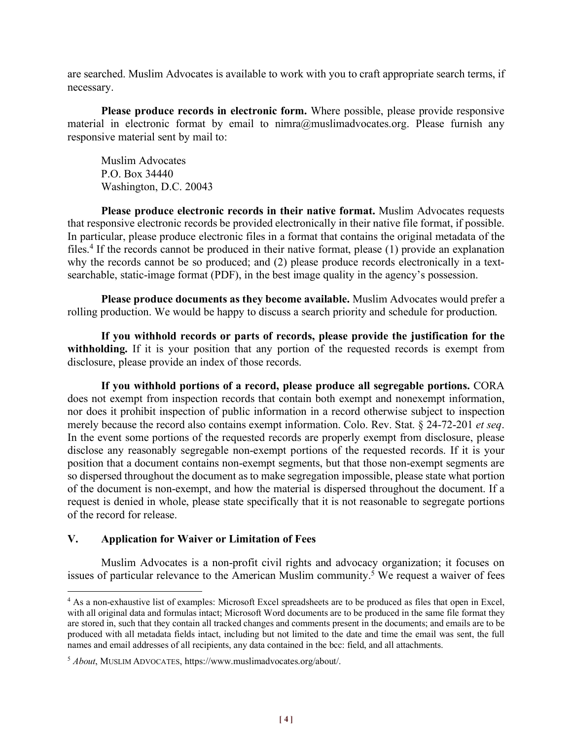are searched. Muslim Advocates is available to work with you to craft appropriate search terms, if necessary.

**Please produce records in electronic form.** Where possible, please provide responsive material in electronic format by email to  $nimra@muslimadvocates.org$ . Please furnish any responsive material sent by mail to:

Muslim Advocates P.O. Box 34440 Washington, D.C. 20043

**Please produce electronic records in their native format.** Muslim Advocates requests that responsive electronic records be provided electronically in their native file format, if possible. In particular, please produce electronic files in a format that contains the original metadata of the files.4 If the records cannot be produced in their native format, please (1) provide an explanation why the records cannot be so produced; and (2) please produce records electronically in a textsearchable, static-image format (PDF), in the best image quality in the agency's possession.

**Please produce documents as they become available.** Muslim Advocates would prefer a rolling production. We would be happy to discuss a search priority and schedule for production.

**If you withhold records or parts of records, please provide the justification for the**  withholding. If it is your position that any portion of the requested records is exempt from disclosure, please provide an index of those records.

**If you withhold portions of a record, please produce all segregable portions.** CORA does not exempt from inspection records that contain both exempt and nonexempt information, nor does it prohibit inspection of public information in a record otherwise subject to inspection merely because the record also contains exempt information. Colo. Rev. Stat. § 24-72-201 *et seq*. In the event some portions of the requested records are properly exempt from disclosure, please disclose any reasonably segregable non-exempt portions of the requested records. If it is your position that a document contains non-exempt segments, but that those non-exempt segments are so dispersed throughout the document as to make segregation impossible, please state what portion of the document is non-exempt, and how the material is dispersed throughout the document. If a request is denied in whole, please state specifically that it is not reasonable to segregate portions of the record for release.

### **V. Application for Waiver or Limitation of Fees**

Muslim Advocates is a non-profit civil rights and advocacy organization; it focuses on issues of particular relevance to the American Muslim community.<sup>5</sup> We request a waiver of fees

 <sup>4</sup> As a non-exhaustive list of examples: Microsoft Excel spreadsheets are to be produced as files that open in Excel, with all original data and formulas intact; Microsoft Word documents are to be produced in the same file format they are stored in, such that they contain all tracked changes and comments present in the documents; and emails are to be produced with all metadata fields intact, including but not limited to the date and time the email was sent, the full names and email addresses of all recipients, any data contained in the bcc: field, and all attachments.

<sup>5</sup> *About*, MUSLIM ADVOCATES, https://www.muslimadvocates.org/about/.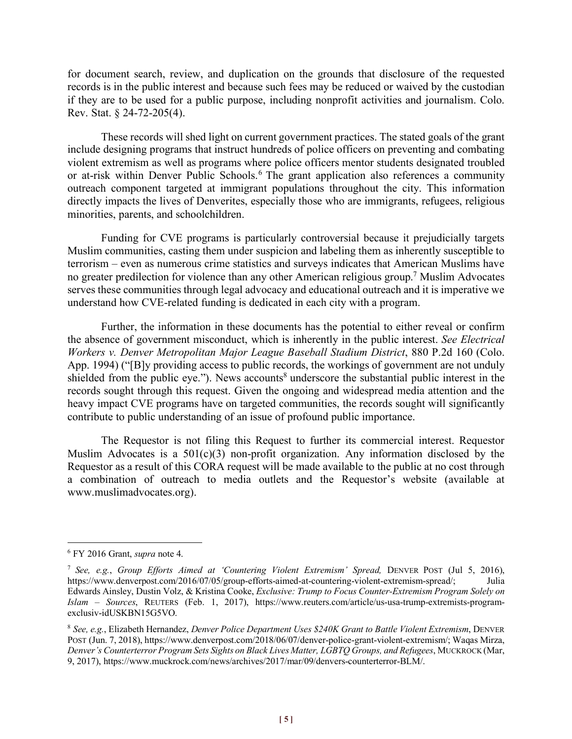for document search, review, and duplication on the grounds that disclosure of the requested records is in the public interest and because such fees may be reduced or waived by the custodian if they are to be used for a public purpose, including nonprofit activities and journalism. Colo. Rev. Stat. § 24-72-205(4).

These records will shed light on current government practices. The stated goals of the grant include designing programs that instruct hundreds of police officers on preventing and combating violent extremism as well as programs where police officers mentor students designated troubled or at-risk within Denver Public Schools.6 The grant application also references a community outreach component targeted at immigrant populations throughout the city. This information directly impacts the lives of Denverites, especially those who are immigrants, refugees, religious minorities, parents, and schoolchildren.

Funding for CVE programs is particularly controversial because it prejudicially targets Muslim communities, casting them under suspicion and labeling them as inherently susceptible to terrorism – even as numerous crime statistics and surveys indicates that American Muslims have no greater predilection for violence than any other American religious group.7 Muslim Advocates serves these communities through legal advocacy and educational outreach and it is imperative we understand how CVE-related funding is dedicated in each city with a program.

Further, the information in these documents has the potential to either reveal or confirm the absence of government misconduct, which is inherently in the public interest. *See Electrical Workers v. Denver Metropolitan Major League Baseball Stadium District*, 880 P.2d 160 (Colo. App. 1994) ("[B]y providing access to public records, the workings of government are not unduly shielded from the public eye."). News accounts<sup>8</sup> underscore the substantial public interest in the records sought through this request. Given the ongoing and widespread media attention and the heavy impact CVE programs have on targeted communities, the records sought will significantly contribute to public understanding of an issue of profound public importance.

The Requestor is not filing this Request to further its commercial interest. Requestor Muslim Advocates is a  $501(c)(3)$  non-profit organization. Any information disclosed by the Requestor as a result of this CORA request will be made available to the public at no cost through a combination of outreach to media outlets and the Requestor's website (available at www.muslimadvocates.org).

 <sup>6</sup> FY 2016 Grant, *supra* note 4.

<sup>7</sup> *See, e.g.*, *Group Efforts Aimed at 'Countering Violent Extremism' Spread,* DENVER POST (Jul 5, 2016), https://www.denverpost.com/2016/07/05/group-efforts-aimed-at-countering-violent-extremism-spread/; Julia Edwards Ainsley, Dustin Volz, & Kristina Cooke, *Exclusive: Trump to Focus Counter-Extremism Program Solely on Islam – Sources*, REUTERS (Feb. 1, 2017), https://www.reuters.com/article/us-usa-trump-extremists-programexclusiv-idUSKBN15G5VO.

<sup>8</sup> *See, e.g.*, Elizabeth Hernandez, *Denver Police Department Uses \$240K Grant to Battle Violent Extremism*, DENVER POST (Jun. 7, 2018), https://www.denverpost.com/2018/06/07/denver-police-grant-violent-extremism/; Waqas Mirza, *Denver's Counterterror Program Sets Sights on Black Lives Matter, LGBTQ Groups, and Refugees*, MUCKROCK (Mar, 9, 2017), https://www.muckrock.com/news/archives/2017/mar/09/denvers-counterterror-BLM/.